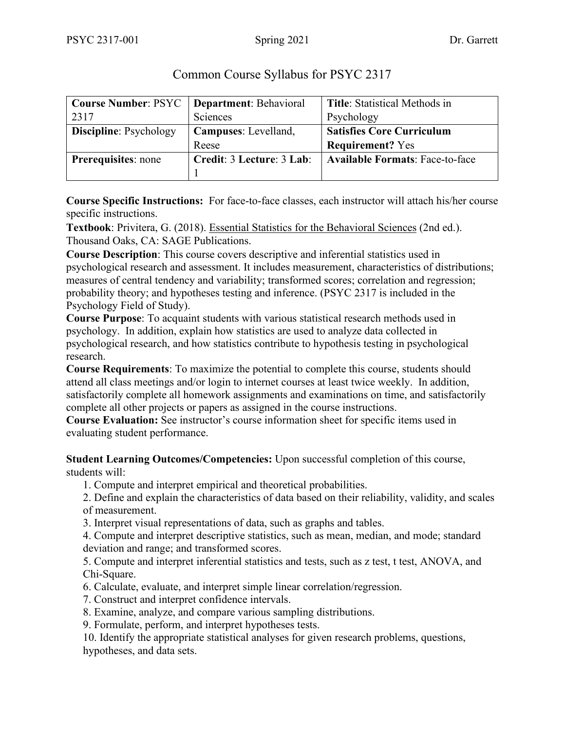| <b>Course Number: PSYC</b>   Department: Behavioral |                           | <b>Title:</b> Statistical Methods in   |
|-----------------------------------------------------|---------------------------|----------------------------------------|
| 2317                                                | Sciences                  | Psychology                             |
| <b>Discipline: Psychology</b>                       | Campuses: Levelland,      | <b>Satisfies Core Curriculum</b>       |
|                                                     | Reese                     | <b>Requirement?</b> Yes                |
| <b>Prerequisites:</b> none                          | Credit: 3 Lecture: 3 Lab: | <b>Available Formats: Face-to-face</b> |
|                                                     |                           |                                        |

# Common Course Syllabus for PSYC 2317

**Course Specific Instructions:** For face-to-face classes, each instructor will attach his/her course specific instructions.

**Textbook**: Privitera, G. (2018). Essential Statistics for the Behavioral Sciences (2nd ed.). Thousand Oaks, CA: SAGE Publications.

**Course Description**: This course covers descriptive and inferential statistics used in psychological research and assessment. It includes measurement, characteristics of distributions; measures of central tendency and variability; transformed scores; correlation and regression; probability theory; and hypotheses testing and inference. (PSYC 2317 is included in the Psychology Field of Study).

**Course Purpose**: To acquaint students with various statistical research methods used in psychology. In addition, explain how statistics are used to analyze data collected in psychological research, and how statistics contribute to hypothesis testing in psychological research.

**Course Requirements**: To maximize the potential to complete this course, students should attend all class meetings and/or login to internet courses at least twice weekly. In addition, satisfactorily complete all homework assignments and examinations on time, and satisfactorily complete all other projects or papers as assigned in the course instructions.

**Course Evaluation:** See instructor's course information sheet for specific items used in evaluating student performance.

**Student Learning Outcomes/Competencies:** Upon successful completion of this course, students will:

1. Compute and interpret empirical and theoretical probabilities.

2. Define and explain the characteristics of data based on their reliability, validity, and scales of measurement.

3. Interpret visual representations of data, such as graphs and tables.

4. Compute and interpret descriptive statistics, such as mean, median, and mode; standard deviation and range; and transformed scores.

5. Compute and interpret inferential statistics and tests, such as z test, t test, ANOVA, and Chi-Square.

- 6. Calculate, evaluate, and interpret simple linear correlation/regression.
- 7. Construct and interpret confidence intervals.
- 8. Examine, analyze, and compare various sampling distributions.

9. Formulate, perform, and interpret hypotheses tests.

10. Identify the appropriate statistical analyses for given research problems, questions, hypotheses, and data sets.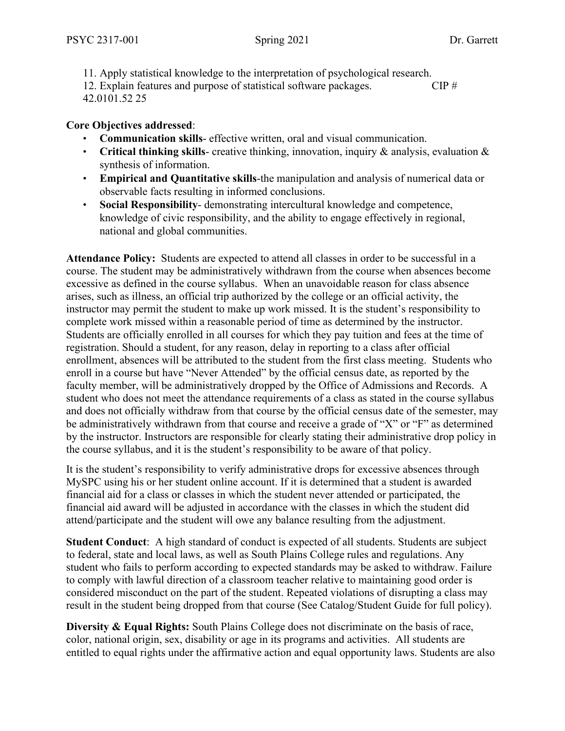11. Apply statistical knowledge to the interpretation of psychological research. 12. Explain features and purpose of statistical software packages. CIP # 42.0101.52 25

## **Core Objectives addressed**:

- **Communication skills** effective written, oral and visual communication.
- **Critical thinking skills** creative thinking, innovation, inquiry & analysis, evaluation & synthesis of information.
- **Empirical and Quantitative skills**-the manipulation and analysis of numerical data or observable facts resulting in informed conclusions.
- **Social Responsibility** demonstrating intercultural knowledge and competence, knowledge of civic responsibility, and the ability to engage effectively in regional, national and global communities.

**Attendance Policy:** Students are expected to attend all classes in order to be successful in a course. The student may be administratively withdrawn from the course when absences become excessive as defined in the course syllabus. When an unavoidable reason for class absence arises, such as illness, an official trip authorized by the college or an official activity, the instructor may permit the student to make up work missed. It is the student's responsibility to complete work missed within a reasonable period of time as determined by the instructor. Students are officially enrolled in all courses for which they pay tuition and fees at the time of registration. Should a student, for any reason, delay in reporting to a class after official enrollment, absences will be attributed to the student from the first class meeting. Students who enroll in a course but have "Never Attended" by the official census date, as reported by the faculty member, will be administratively dropped by the Office of Admissions and Records. A student who does not meet the attendance requirements of a class as stated in the course syllabus and does not officially withdraw from that course by the official census date of the semester, may be administratively withdrawn from that course and receive a grade of "X" or "F" as determined by the instructor. Instructors are responsible for clearly stating their administrative drop policy in the course syllabus, and it is the student's responsibility to be aware of that policy.

It is the student's responsibility to verify administrative drops for excessive absences through MySPC using his or her student online account. If it is determined that a student is awarded financial aid for a class or classes in which the student never attended or participated, the financial aid award will be adjusted in accordance with the classes in which the student did attend/participate and the student will owe any balance resulting from the adjustment.

**Student Conduct**: A high standard of conduct is expected of all students. Students are subject to federal, state and local laws, as well as South Plains College rules and regulations. Any student who fails to perform according to expected standards may be asked to withdraw. Failure to comply with lawful direction of a classroom teacher relative to maintaining good order is considered misconduct on the part of the student. Repeated violations of disrupting a class may result in the student being dropped from that course (See Catalog/Student Guide for full policy).

**Diversity & Equal Rights:** South Plains College does not discriminate on the basis of race, color, national origin, sex, disability or age in its programs and activities. All students are entitled to equal rights under the affirmative action and equal opportunity laws. Students are also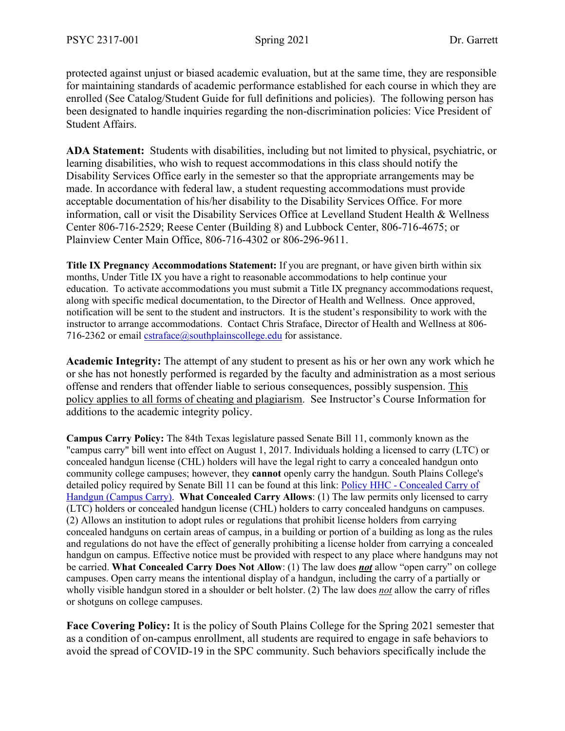protected against unjust or biased academic evaluation, but at the same time, they are responsible for maintaining standards of academic performance established for each course in which they are enrolled (See Catalog/Student Guide for full definitions and policies). The following person has been designated to handle inquiries regarding the non-discrimination policies: Vice President of Student Affairs.

**ADA Statement:** Students with disabilities, including but not limited to physical, psychiatric, or learning disabilities, who wish to request accommodations in this class should notify the Disability Services Office early in the semester so that the appropriate arrangements may be made. In accordance with federal law, a student requesting accommodations must provide acceptable documentation of his/her disability to the Disability Services Office. For more information, call or visit the Disability Services Office at Levelland Student Health & Wellness Center 806-716-2529; Reese Center (Building 8) and Lubbock Center, 806-716-4675; or Plainview Center Main Office, 806-716-4302 or 806-296-9611.

**Title IX Pregnancy Accommodations Statement:** If you are pregnant, or have given birth within six months, Under Title IX you have a right to reasonable accommodations to help continue your education. To activate accommodations you must submit a Title IX pregnancy accommodations request, along with specific medical documentation, to the Director of Health and Wellness. Once approved, notification will be sent to the student and instructors. It is the student's responsibility to work with the instructor to arrange accommodations. Contact Chris Straface, Director of Health and Wellness at 806- 716-2362 or email  $\text{cstraface}(a)$ southplainscollege.edu for assistance.

**Academic Integrity:** The attempt of any student to present as his or her own any work which he or she has not honestly performed is regarded by the faculty and administration as a most serious offense and renders that offender liable to serious consequences, possibly suspension. This policy applies to all forms of cheating and plagiarism. See Instructor's Course Information for additions to the academic integrity policy.

**Campus Carry Policy:** The 84th Texas legislature passed Senate Bill 11, commonly known as the "campus carry" bill went into effect on August 1, 2017. Individuals holding a licensed to carry (LTC) or concealed handgun license (CHL) holders will have the legal right to carry a concealed handgun onto community college campuses; however, they **cannot** openly carry the handgun. South Plains College's detailed policy required by Senate Bill 11 can be found at this link: Policy HHC - [Concealed Carry of](http://www.southplainscollege.edu/human_resources/policy_procedure/hhc.php)  [Handgun \(Campus Carry\).](http://www.southplainscollege.edu/human_resources/policy_procedure/hhc.php) **What Concealed Carry Allows**: (1) The law permits only licensed to carry (LTC) holders or concealed handgun license (CHL) holders to carry concealed handguns on campuses. (2) Allows an institution to adopt rules or regulations that prohibit license holders from carrying concealed handguns on certain areas of campus, in a building or portion of a building as long as the rules and regulations do not have the effect of generally prohibiting a license holder from carrying a concealed handgun on campus. Effective notice must be provided with respect to any place where handguns may not be carried. **What Concealed Carry Does Not Allow**: (1) The law does *not* allow "open carry" on college campuses. Open carry means the intentional display of a handgun, including the carry of a partially or wholly visible handgun stored in a shoulder or belt holster. (2) The law does *not* allow the carry of rifles or shotguns on college campuses.

**Face Covering Policy:** It is the policy of South Plains College for the Spring 2021 semester that as a condition of on-campus enrollment, all students are required to engage in safe behaviors to avoid the spread of COVID-19 in the SPC community. Such behaviors specifically include the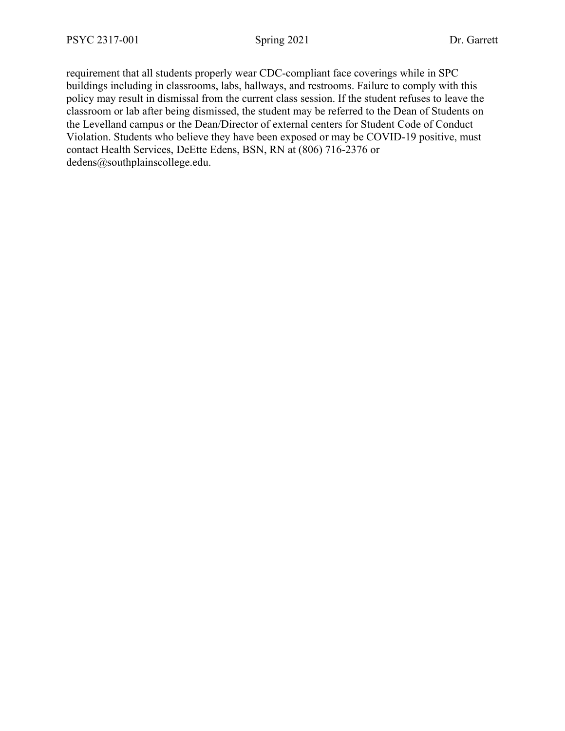requirement that all students properly wear CDC-compliant face coverings while in SPC buildings including in classrooms, labs, hallways, and restrooms. Failure to comply with this policy may result in dismissal from the current class session. If the student refuses to leave the classroom or lab after being dismissed, the student may be referred to the Dean of Students on the Levelland campus or the Dean/Director of external centers for Student Code of Conduct Violation. Students who believe they have been exposed or may be COVID-19 positive, must contact Health Services, DeEtte Edens, BSN, RN at (806) 716-2376 or dedens@southplainscollege.edu.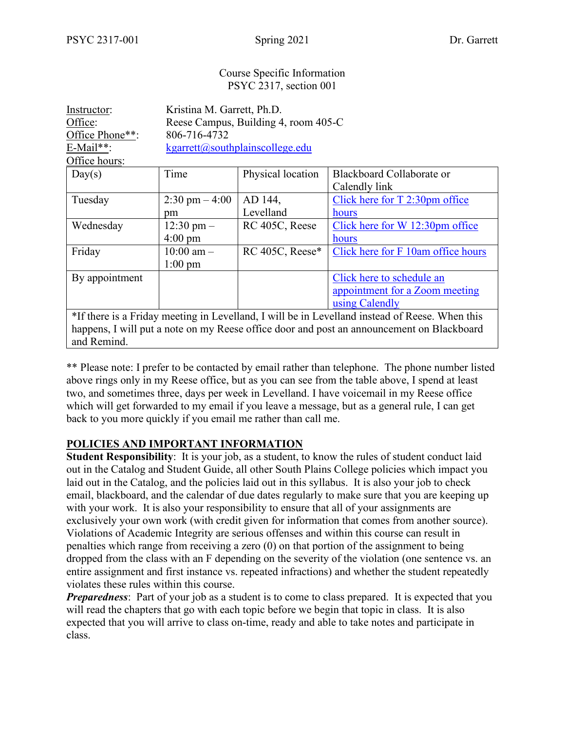and Remind.

#### Course Specific Information PSYC 2317, section 001

| Instructor:                                                                                    | Kristina M. Garrett, Ph.D.           |                   |                                    |  |  |
|------------------------------------------------------------------------------------------------|--------------------------------------|-------------------|------------------------------------|--|--|
| Office:                                                                                        | Reese Campus, Building 4, room 405-C |                   |                                    |  |  |
| Office Phone**:                                                                                | 806-716-4732                         |                   |                                    |  |  |
| $E$ -Mail**:                                                                                   | kgarrett@southplainscollege.edu      |                   |                                    |  |  |
| Office hours:                                                                                  |                                      |                   |                                    |  |  |
| Day(s)                                                                                         | Time                                 | Physical location | Blackboard Collaborate or          |  |  |
|                                                                                                |                                      |                   | Calendly link                      |  |  |
| Tuesday                                                                                        | $2:30 \text{ pm} - 4:00$             | AD 144,           | Click here for $T$ 2:30pm office   |  |  |
|                                                                                                | pm                                   | Levelland         | hours                              |  |  |
| Wednesday                                                                                      | $12:30 \text{ pm} -$                 | RC 405C, Reese    | Click here for W 12:30pm office    |  |  |
|                                                                                                | $4:00 \text{ pm}$                    |                   | hours                              |  |  |
| Friday                                                                                         | $10:00$ am $-$                       | RC 405C, Reese*   | Click here for F 10am office hours |  |  |
|                                                                                                | $1:00 \text{ pm}$                    |                   |                                    |  |  |
| By appointment                                                                                 |                                      |                   | Click here to schedule an          |  |  |
|                                                                                                |                                      |                   | appointment for a Zoom meeting     |  |  |
|                                                                                                |                                      |                   | using Calendly                     |  |  |
| *If there is a Friday meeting in Levelland, I will be in Levelland instead of Reese. When this |                                      |                   |                                    |  |  |
| happens, I will put a note on my Reese office door and post an announcement on Blackboard      |                                      |                   |                                    |  |  |

\*\* Please note: I prefer to be contacted by email rather than telephone. The phone number listed above rings only in my Reese office, but as you can see from the table above, I spend at least two, and sometimes three, days per week in Levelland. I have voicemail in my Reese office which will get forwarded to my email if you leave a message, but as a general rule, I can get back to you more quickly if you email me rather than call me.

# **POLICIES AND IMPORTANT INFORMATION**

**Student Responsibility**: It is your job, as a student, to know the rules of student conduct laid out in the Catalog and Student Guide, all other South Plains College policies which impact you laid out in the Catalog, and the policies laid out in this syllabus. It is also your job to check email, blackboard, and the calendar of due dates regularly to make sure that you are keeping up with your work. It is also your responsibility to ensure that all of your assignments are exclusively your own work (with credit given for information that comes from another source). Violations of Academic Integrity are serious offenses and within this course can result in penalties which range from receiving a zero (0) on that portion of the assignment to being dropped from the class with an F depending on the severity of the violation (one sentence vs. an entire assignment and first instance vs. repeated infractions) and whether the student repeatedly violates these rules within this course.

*Preparedness*: Part of your job as a student is to come to class prepared. It is expected that you will read the chapters that go with each topic before we begin that topic in class. It is also expected that you will arrive to class on-time, ready and able to take notes and participate in class.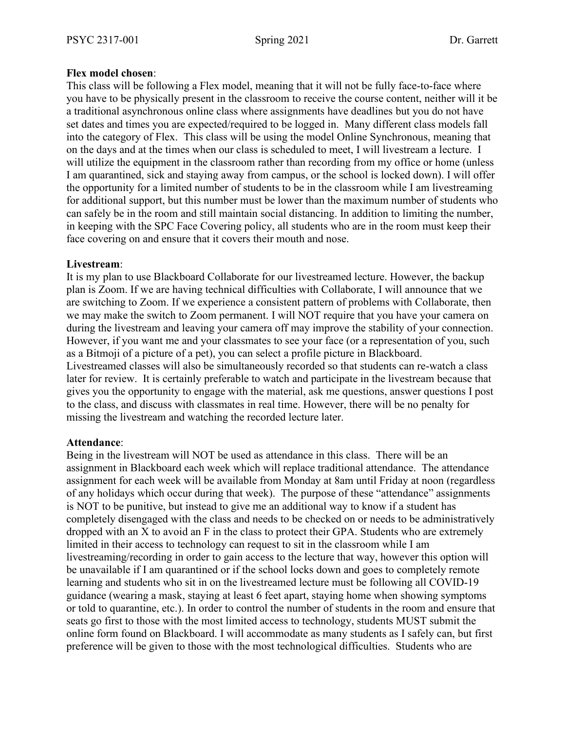## **Flex model chosen**:

This class will be following a Flex model, meaning that it will not be fully face-to-face where you have to be physically present in the classroom to receive the course content, neither will it be a traditional asynchronous online class where assignments have deadlines but you do not have set dates and times you are expected/required to be logged in. Many different class models fall into the category of Flex. This class will be using the model Online Synchronous, meaning that on the days and at the times when our class is scheduled to meet, I will livestream a lecture. I will utilize the equipment in the classroom rather than recording from my office or home (unless I am quarantined, sick and staying away from campus, or the school is locked down). I will offer the opportunity for a limited number of students to be in the classroom while I am livestreaming for additional support, but this number must be lower than the maximum number of students who can safely be in the room and still maintain social distancing. In addition to limiting the number, in keeping with the SPC Face Covering policy, all students who are in the room must keep their face covering on and ensure that it covers their mouth and nose.

### **Livestream**:

It is my plan to use Blackboard Collaborate for our livestreamed lecture. However, the backup plan is Zoom. If we are having technical difficulties with Collaborate, I will announce that we are switching to Zoom. If we experience a consistent pattern of problems with Collaborate, then we may make the switch to Zoom permanent. I will NOT require that you have your camera on during the livestream and leaving your camera off may improve the stability of your connection. However, if you want me and your classmates to see your face (or a representation of you, such as a Bitmoji of a picture of a pet), you can select a profile picture in Blackboard. Livestreamed classes will also be simultaneously recorded so that students can re-watch a class later for review. It is certainly preferable to watch and participate in the livestream because that gives you the opportunity to engage with the material, ask me questions, answer questions I post to the class, and discuss with classmates in real time. However, there will be no penalty for missing the livestream and watching the recorded lecture later.

#### **Attendance**:

Being in the livestream will NOT be used as attendance in this class. There will be an assignment in Blackboard each week which will replace traditional attendance. The attendance assignment for each week will be available from Monday at 8am until Friday at noon (regardless of any holidays which occur during that week). The purpose of these "attendance" assignments is NOT to be punitive, but instead to give me an additional way to know if a student has completely disengaged with the class and needs to be checked on or needs to be administratively dropped with an X to avoid an F in the class to protect their GPA. Students who are extremely limited in their access to technology can request to sit in the classroom while I am livestreaming/recording in order to gain access to the lecture that way, however this option will be unavailable if I am quarantined or if the school locks down and goes to completely remote learning and students who sit in on the livestreamed lecture must be following all COVID-19 guidance (wearing a mask, staying at least 6 feet apart, staying home when showing symptoms or told to quarantine, etc.). In order to control the number of students in the room and ensure that seats go first to those with the most limited access to technology, students MUST submit the online form found on Blackboard. I will accommodate as many students as I safely can, but first preference will be given to those with the most technological difficulties. Students who are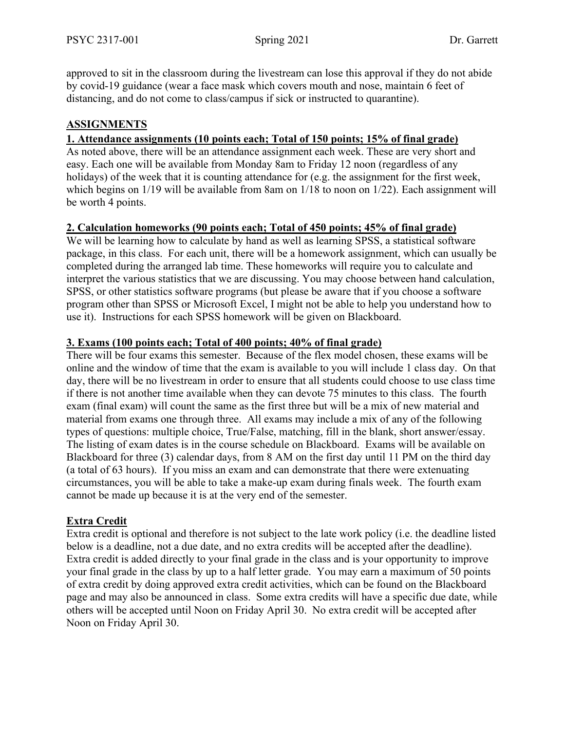approved to sit in the classroom during the livestream can lose this approval if they do not abide by covid-19 guidance (wear a face mask which covers mouth and nose, maintain 6 feet of distancing, and do not come to class/campus if sick or instructed to quarantine).

# **ASSIGNMENTS**

## **1. Attendance assignments (10 points each; Total of 150 points; 15% of final grade)**

As noted above, there will be an attendance assignment each week. These are very short and easy. Each one will be available from Monday 8am to Friday 12 noon (regardless of any holidays) of the week that it is counting attendance for (e.g. the assignment for the first week, which begins on 1/19 will be available from 8am on 1/18 to noon on 1/22). Each assignment will be worth 4 points.

## **2. Calculation homeworks (90 points each; Total of 450 points; 45% of final grade)**

We will be learning how to calculate by hand as well as learning SPSS, a statistical software package, in this class. For each unit, there will be a homework assignment, which can usually be completed during the arranged lab time. These homeworks will require you to calculate and interpret the various statistics that we are discussing. You may choose between hand calculation, SPSS, or other statistics software programs (but please be aware that if you choose a software program other than SPSS or Microsoft Excel, I might not be able to help you understand how to use it). Instructions for each SPSS homework will be given on Blackboard.

### **3. Exams (100 points each; Total of 400 points; 40% of final grade)**

There will be four exams this semester. Because of the flex model chosen, these exams will be online and the window of time that the exam is available to you will include 1 class day. On that day, there will be no livestream in order to ensure that all students could choose to use class time if there is not another time available when they can devote 75 minutes to this class. The fourth exam (final exam) will count the same as the first three but will be a mix of new material and material from exams one through three. All exams may include a mix of any of the following types of questions: multiple choice, True/False, matching, fill in the blank, short answer/essay. The listing of exam dates is in the course schedule on Blackboard. Exams will be available on Blackboard for three (3) calendar days, from 8 AM on the first day until 11 PM on the third day (a total of 63 hours). If you miss an exam and can demonstrate that there were extenuating circumstances, you will be able to take a make-up exam during finals week. The fourth exam cannot be made up because it is at the very end of the semester.

## **Extra Credit**

Extra credit is optional and therefore is not subject to the late work policy (i.e. the deadline listed below is a deadline, not a due date, and no extra credits will be accepted after the deadline). Extra credit is added directly to your final grade in the class and is your opportunity to improve your final grade in the class by up to a half letter grade. You may earn a maximum of 50 points of extra credit by doing approved extra credit activities, which can be found on the Blackboard page and may also be announced in class. Some extra credits will have a specific due date, while others will be accepted until Noon on Friday April 30. No extra credit will be accepted after Noon on Friday April 30.